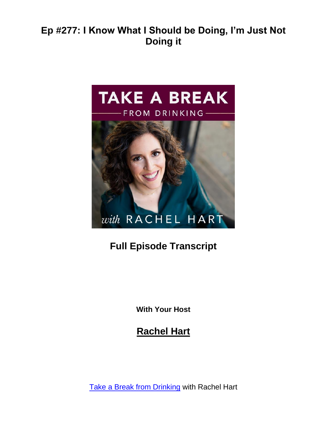

# **Full Episode Transcript**

**With Your Host**

**Rachel Hart**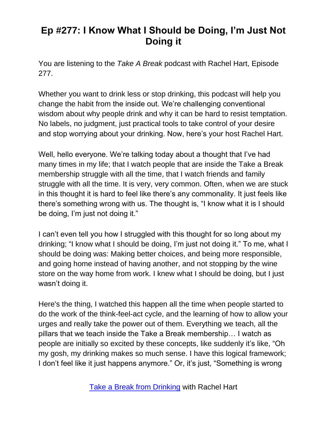You are listening to the *Take A Break* podcast with Rachel Hart, Episode 277.

Whether you want to drink less or stop drinking, this podcast will help you change the habit from the inside out. We're challenging conventional wisdom about why people drink and why it can be hard to resist temptation. No labels, no judgment, just practical tools to take control of your desire and stop worrying about your drinking. Now, here's your host Rachel Hart.

Well, hello everyone. We're talking today about a thought that I've had many times in my life; that I watch people that are inside the Take a Break membership struggle with all the time, that I watch friends and family struggle with all the time. It is very, very common. Often, when we are stuck in this thought it is hard to feel like there's any commonality. It just feels like there's something wrong with us. The thought is, "I know what it is I should be doing, I'm just not doing it."

I can't even tell you how I struggled with this thought for so long about my drinking; "I know what I should be doing, I'm just not doing it." To me, what I should be doing was: Making better choices, and being more responsible, and going home instead of having another, and not stopping by the wine store on the way home from work. I knew what I should be doing, but I just wasn't doing it.

Here's the thing, I watched this happen all the time when people started to do the work of the think-feel-act cycle, and the learning of how to allow your urges and really take the power out of them. Everything we teach, all the pillars that we teach inside the Take a Break membership… I watch as people are initially so excited by these concepts, like suddenly it's like, "Oh my gosh, my drinking makes so much sense. I have this logical framework; I don't feel like it just happens anymore." Or, it's just, "Something is wrong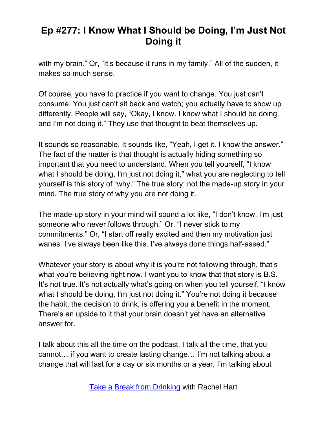with my brain." Or, "It's because it runs in my family." All of the sudden, it makes so much sense.

Of course, you have to practice if you want to change. You just can't consume. You just can't sit back and watch; you actually have to show up differently. People will say, "Okay, I know. I know what I should be doing, and I'm not doing it." They use that thought to beat themselves up.

It sounds so reasonable. It sounds like, "Yeah, I get it. I know the answer." The fact of the matter is that thought is actually hiding something so important that you need to understand. When you tell yourself, "I know what I should be doing, I'm just not doing it," what you are neglecting to tell yourself is this story of "why." The true story; not the made-up story in your mind. The true story of why you are not doing it.

The made-up story in your mind will sound a lot like, "I don't know, I'm just someone who never follows through." Or, "I never stick to my commitments." Or, "I start off really excited and then my motivation just wanes. I've always been like this. I've always done things half-assed."

Whatever your story is about why it is you're not following through, that's what you're believing right now. I want you to know that that story is B.S. It's not true. It's not actually what's going on when you tell yourself, "I know what I should be doing, I'm just not doing it." You're not doing it because the habit, the decision to drink, is offering you a benefit in the moment. There's an upside to it that your brain doesn't yet have an alternative answer for.

I talk about this all the time on the podcast. I talk all the time, that you cannot… if you want to create lasting change… I'm not talking about a change that will last for a day or six months or a year, I'm talking about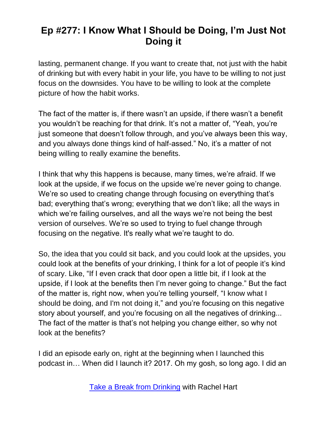lasting, permanent change. If you want to create that, not just with the habit of drinking but with every habit in your life, you have to be willing to not just focus on the downsides. You have to be willing to look at the complete picture of how the habit works.

The fact of the matter is, if there wasn't an upside, if there wasn't a benefit you wouldn't be reaching for that drink. It's not a matter of, "Yeah, you're just someone that doesn't follow through, and you've always been this way, and you always done things kind of half-assed." No, it's a matter of not being willing to really examine the benefits.

I think that why this happens is because, many times, we're afraid. If we look at the upside, if we focus on the upside we're never going to change. We're so used to creating change through focusing on everything that's bad; everything that's wrong; everything that we don't like; all the ways in which we're failing ourselves, and all the ways we're not being the best version of ourselves. We're so used to trying to fuel change through focusing on the negative. It's really what we're taught to do.

So, the idea that you could sit back, and you could look at the upsides, you could look at the benefits of your drinking, I think for a lot of people it's kind of scary. Like, "If I even crack that door open a little bit, if I look at the upside, if I look at the benefits then I'm never going to change." But the fact of the matter is, right now, when you're telling yourself, "I know what I should be doing, and I'm not doing it," and you're focusing on this negative story about yourself, and you're focusing on all the negatives of drinking... The fact of the matter is that's not helping you change either, so why not look at the benefits?

I did an episode early on, right at the beginning when I launched this podcast in… When did I launch it? 2017. Oh my gosh, so long ago. I did an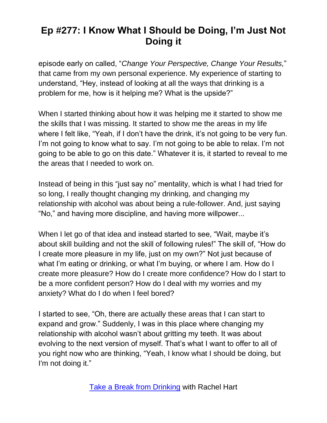episode early on called, "*Change Your Perspective, Change Your Results,*" that came from my own personal experience. My experience of starting to understand, "Hey, instead of looking at all the ways that drinking is a problem for me, how is it helping me? What is the upside?"

When I started thinking about how it was helping me it started to show me the skills that I was missing. It started to show me the areas in my life where I felt like, "Yeah, if I don't have the drink, it's not going to be very fun. I'm not going to know what to say. I'm not going to be able to relax. I'm not going to be able to go on this date." Whatever it is, it started to reveal to me the areas that I needed to work on.

Instead of being in this "just say no" mentality, which is what I had tried for so long, I really thought changing my drinking, and changing my relationship with alcohol was about being a rule-follower. And, just saying "No," and having more discipline, and having more willpower...

When I let go of that idea and instead started to see, "Wait, maybe it's about skill building and not the skill of following rules!" The skill of, "How do I create more pleasure in my life, just on my own?" Not just because of what I'm eating or drinking, or what I'm buying, or where I am. How do I create more pleasure? How do I create more confidence? How do I start to be a more confident person? How do I deal with my worries and my anxiety? What do I do when I feel bored?

I started to see, "Oh, there are actually these areas that I can start to expand and grow." Suddenly, I was in this place where changing my relationship with alcohol wasn't about gritting my teeth. It was about evolving to the next version of myself. That's what I want to offer to all of you right now who are thinking, "Yeah, I know what I should be doing, but I'm not doing it."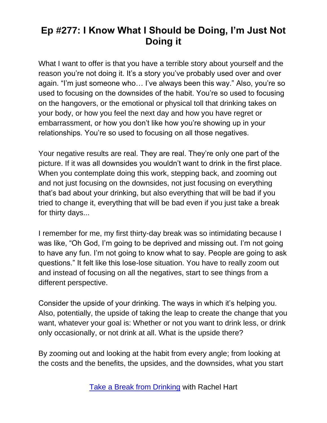What I want to offer is that you have a terrible story about yourself and the reason you're not doing it. It's a story you've probably used over and over again. "I'm just someone who… I've always been this way." Also, you're so used to focusing on the downsides of the habit. You're so used to focusing on the hangovers, or the emotional or physical toll that drinking takes on your body, or how you feel the next day and how you have regret or embarrassment, or how you don't like how you're showing up in your relationships. You're so used to focusing on all those negatives.

Your negative results are real. They are real. They're only one part of the picture. If it was all downsides you wouldn't want to drink in the first place. When you contemplate doing this work, stepping back, and zooming out and not just focusing on the downsides, not just focusing on everything that's bad about your drinking, but also everything that will be bad if you tried to change it, everything that will be bad even if you just take a break for thirty days...

I remember for me, my first thirty-day break was so intimidating because I was like, "Oh God, I'm going to be deprived and missing out. I'm not going to have any fun. I'm not going to know what to say. People are going to ask questions." It felt like this lose-lose situation. You have to really zoom out and instead of focusing on all the negatives, start to see things from a different perspective.

Consider the upside of your drinking. The ways in which it's helping you. Also, potentially, the upside of taking the leap to create the change that you want, whatever your goal is: Whether or not you want to drink less, or drink only occasionally, or not drink at all. What is the upside there?

By zooming out and looking at the habit from every angle; from looking at the costs and the benefits, the upsides, and the downsides, what you start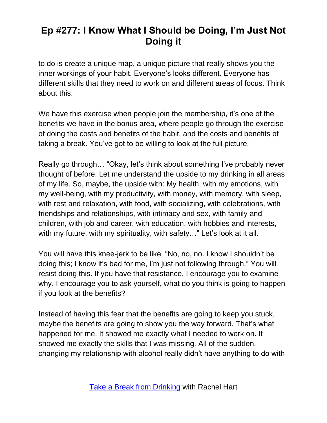to do is create a unique map, a unique picture that really shows you the inner workings of your habit. Everyone's looks different. Everyone has different skills that they need to work on and different areas of focus. Think about this.

We have this exercise when people join the membership, it's one of the benefits we have in the bonus area, where people go through the exercise of doing the costs and benefits of the habit, and the costs and benefits of taking a break. You've got to be willing to look at the full picture.

Really go through… "Okay, let's think about something I've probably never thought of before. Let me understand the upside to my drinking in all areas of my life. So, maybe, the upside with: My health, with my emotions, with my well-being, with my productivity, with money, with memory, with sleep, with rest and relaxation, with food, with socializing, with celebrations, with friendships and relationships, with intimacy and sex, with family and children, with job and career, with education, with hobbies and interests, with my future, with my spirituality, with safety..." Let's look at it all.

You will have this knee-jerk to be like, "No, no, no. I know I shouldn't be doing this; I know it's bad for me, I'm just not following through." You will resist doing this. If you have that resistance, I encourage you to examine why. I encourage you to ask yourself, what do you think is going to happen if you look at the benefits?

Instead of having this fear that the benefits are going to keep you stuck, maybe the benefits are going to show you the way forward. That's what happened for me. It showed me exactly what I needed to work on. It showed me exactly the skills that I was missing. All of the sudden, changing my relationship with alcohol really didn't have anything to do with